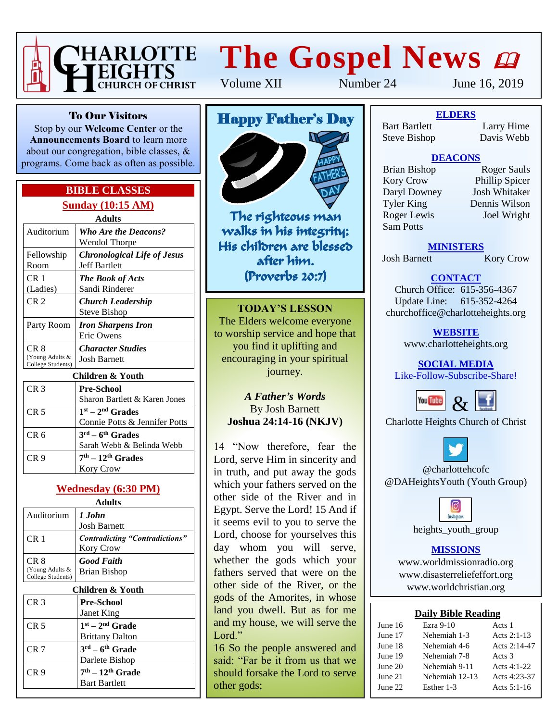

# **The Gospel News**

Volume XII Number 24 June 16, 2019

To Our Visitors Stop by our **Welcome Center** or the

**Announcements Board** to learn more about our congregation, bible classes, & programs. Come back as often as possible.

#### **BIBLE CLASSES Sunday (10:15 AM)**

|                                      | Adults                                 |
|--------------------------------------|----------------------------------------|
| Auditorium                           | <b>Who Are the Deacons?</b>            |
|                                      | Wendol Thorpe                          |
| Fellowship                           | <b>Chronological Life of Jesus</b>     |
| Room                                 | <b>Jeff Bartlett</b>                   |
| CR <sub>1</sub>                      | <b>The Book of Acts</b>                |
| (Ladies)                             | Sandi Rinderer                         |
| CR <sub>2</sub>                      | Church Leadership                      |
|                                      | Steve Bishop                           |
| Party Room                           | <b>Iron Sharpens Iron</b>              |
|                                      | Eric Owens                             |
| CR 8                                 | <b>Character Studies</b>               |
| (Young Adults &<br>College Students) | <b>Josh Barnett</b>                    |
|                                      | Children & Youth                       |
| CR <sub>3</sub>                      | <b>Pre-School</b>                      |
|                                      | Sharon Bartlett & Karen Jones          |
| CR <sub>5</sub>                      | $1st - 2nd$ Grades                     |
|                                      | Connie Potts & Jennifer Potts          |
| CR <sub>6</sub>                      | $3^{\text{rd}} - 6^{\text{th}}$ Grades |
|                                      | Sarah Webb & Belinda Webb              |
| CR 9                                 | $7th - 12th$ Grades                    |

#### **Wednesday (6:30 PM)**

Kory Crow

| <b>Adults</b>                                           |  |  |  |  |
|---------------------------------------------------------|--|--|--|--|
| 1 John<br><b>Josh Barnett</b>                           |  |  |  |  |
| <i>Contradicting "Contradictions"</i><br>Kory Crow      |  |  |  |  |
| <b>Good Faith</b><br>Brian Bishop                       |  |  |  |  |
| Children & Youth                                        |  |  |  |  |
| <b>Pre-School</b><br>Janet King                         |  |  |  |  |
| $1st - 2nd$ Grade<br><b>Brittany Dalton</b>             |  |  |  |  |
| $3^{\text{rd}} - 6^{\text{th}}$ Grade<br>Darlete Bishop |  |  |  |  |
| $7th - 12th$ Grade<br><b>Bart Bartlett</b>              |  |  |  |  |
|                                                         |  |  |  |  |

# Happy Father's Day



The righteous man walks in his integrity; His children are blessed after him. (Proverbs 20:7)

**TODAY'S LESSON** The Elders welcome everyone to worship service and hope that you find it uplifting and encouraging in your spiritual journey.

#### *A Father's Words* By Josh Barnett **Joshua 24:14-16 (NKJV)**

14 "Now therefore, fear the Lord, serve Him in sincerity and in truth, and put away the gods which your fathers served on the other side of the River and in Egypt. Serve the Lord! 15 And if it seems evil to you to serve the Lord, choose for yourselves this day whom you will serve, whether the gods which your fathers served that were on the other side of the River, or the gods of the Amorites, in whose land you dwell. But as for me and my house, we will serve the Lord."

16 So the people answered and said: "Far be it from us that we should forsake the Lord to serve other gods;

**ELDERS** Bart Bartlett Larry Hime Steve Bishop Davis Webb

#### **DEACONS**

Kory Crow Phillip Spicer<br>
Daryl Downey Josh Whitaker Daryl Downey Tyler King Dennis Wilson Roger Lewis Joel Wright Sam Potts

Brian Bishop Roger Sauls

**MINISTERS**

Josh Barnett Kory Crow

**CONTACT**

Church Office: 615-356-4367 Update Line: 615-352-4264 churchoffice@charlotteheights.org

> **WEBSITE** [www.charlotteheights.org](http://www.charlotteheights.org/)

**SOCIAL MEDIA** Like-Follow-Subscribe-Share!



Charlotte Heights Church of Christ



@charlottehcofc @DAHeightsYouth (Youth Group)

**Instagram** 

heights\_youth\_group

#### **MISSIONS**

www.worldmissionradio.org [www.disasterreliefeffort.org](http://www.disasterreliefeffort.org/) [www.worldchristian.org](http://www.worldchristian.org/)

#### **Daily Bible Reading**

| June 16 | Ezra $9-10$    | Acts 1        |
|---------|----------------|---------------|
| June 17 | Nehemiah 1-3   | Acts $2:1-13$ |
| June 18 | Nehemiah 4-6   | Acts 2:14-47  |
| June 19 | Nehemiah 7-8   | Acts 3        |
| June 20 | Nehemiah 9-11  | Acts $4:1-22$ |
| June 21 | Nehemiah 12-13 | Acts 4:23-37  |
| June 22 | Esther 1-3     | Acts $5:1-16$ |
|         |                |               |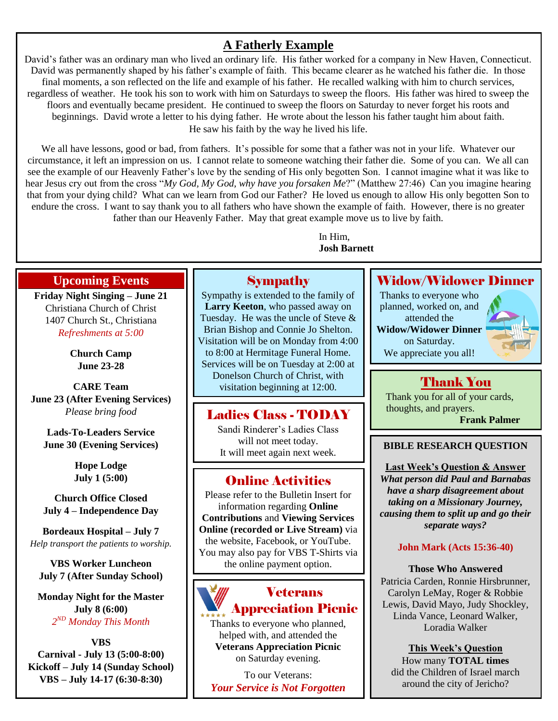# **A Fatherly Example**

David's father was an ordinary man who lived an ordinary life. His father worked for a company in New Haven, Connecticut. David was permanently shaped by his father's example of faith. This became clearer as he watched his father die. In those final moments, a son reflected on the life and example of his father. He recalled walking with him to church services, regardless of weather. He took his son to work with him on Saturdays to sweep the floors. His father was hired to sweep the floors and eventually became president. He continued to sweep the floors on Saturday to never forget his roots and beginnings. David wrote a letter to his dying father. He wrote about the lesson his father taught him about faith. He saw his faith by the way he lived his life.

We all have lessons, good or bad, from fathers. It's possible for some that a father was not in your life. Whatever our circumstance, it left an impression on us. I cannot relate to someone watching their father die. Some of you can. We all can see the example of our Heavenly Father's love by the sending of His only begotten Son. I cannot imagine what it was like to hear Jesus cry out from the cross "*My God, My God, why have you forsaken Me*?" (Matthew 27:46) Can you imagine hearing that from your dying child? What can we learn from God our Father? He loved us enough to allow His only begotten Son to endure the cross. I want to say thank you to all fathers who have shown the example of faith. However, there is no greater father than our Heavenly Father. May that great example move us to live by faith.

> In Him, **Josh Barnett**

#### **Upcoming Events**

**Friday Night Singing – June 21** Christiana Church of Christ 1407 Church St., Christiana *Refreshments at 5:00*

> **Church Camp June 23-28**

**CARE Team June 23 (After Evening Services)** *Please bring food*

**Lads-To-Leaders Service June 30 (Evening Services)**

> **Hope Lodge July 1 (5:00)**

**Church Office Closed July 4 – Independence Day**

**Bordeaux Hospital – July 7** *Help transport the patients to worship.*

**VBS Worker Luncheon July 7 (After Sunday School)**

**Monday Night for the Master July 8 (6:00)** *2 ND Monday This Month*

**VBS Carnival - July 13 (5:00-8:00) Kickoff – July 14 (Sunday School) VBS – July 14-17 (6:30-8:30)**

# **Sympathy**

Sympathy is extended to the family of **Larry Keeton**, who passed away on Tuesday. He was the uncle of Steve & Brian Bishop and Connie Jo Shelton. Visitation will be on Monday from 4:00 to 8:00 at Hermitage Funeral Home. Services will be on Tuesday at 2:00 at Donelson Church of Christ, with visitation beginning at 12:00.

## Ladies Class - TODAY

Sandi Rinderer's Ladies Class will not meet today. It will meet again next week.

# Online Activities

Please refer to the Bulletin Insert for information regarding **Online Contributions** and **Viewing Services Online (recorded or Live Stream)** via the website, Facebook, or YouTube. You may also pay for VBS T-Shirts via the online payment option.



Thanks to everyone who planned, helped with, and attended the **Veterans Appreciation Picnic** on Saturday evening.

To our Veterans: *Your Service is Not Forgotten*

## Widow/Widower Dinner

Thanks to everyone who planned, worked on, and attended the **Widow/Widower Dinner** on Saturday. We appreciate you all!



# Thank You

Thank you for all of your cards, thoughts, and prayers.

**Frank Palmer**

#### **BIBLE RESEARCH QUESTION**

**Last Week's Question & Answer** *What person did Paul and Barnabas have a sharp disagreement about taking on a Missionary Journey, causing them to split up and go their separate ways?*

#### **John Mark (Acts 15:36-40)**

**Those Who Answered** Patricia Carden, Ronnie Hirsbrunner, Carolyn LeMay, Roger & Robbie Lewis, David Mayo, Judy Shockley, Linda Vance, Leonard Walker, Loradia Walker

> **This Week's Question** How many **TOTAL times**

did the Children of Israel march around the city of Jericho?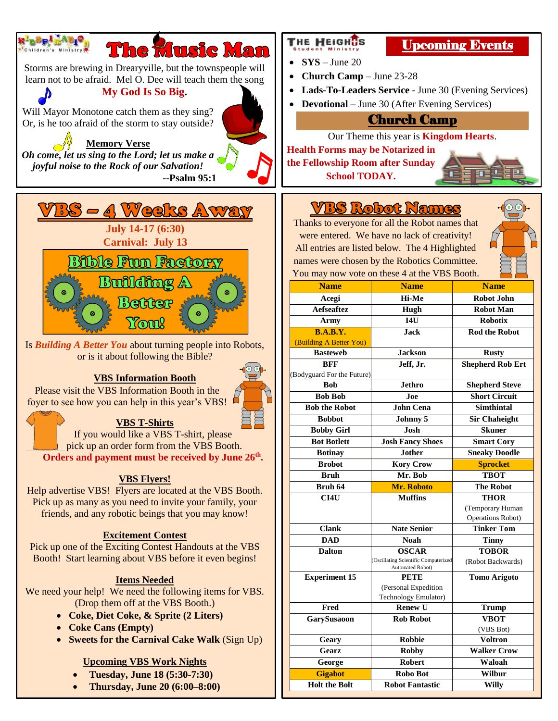